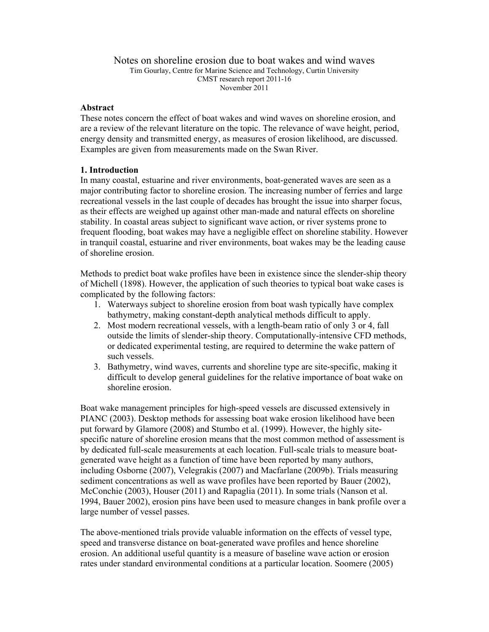### Notes on shoreline erosion due to boat wakes and wind waves Tim Gourlay, Centre for Marine Science and Technology, Curtin University CMST research report 2011-16 November 2011

### **Abstract**

These notes concern the effect of boat wakes and wind waves on shoreline erosion, and are a review of the relevant literature on the topic. The relevance of wave height, period, energy density and transmitted energy, as measures of erosion likelihood, are discussed. Examples are given from measurements made on the Swan River.

### **1. Introduction**

In many coastal, estuarine and river environments, boat-generated waves are seen as a major contributing factor to shoreline erosion. The increasing number of ferries and large recreational vessels in the last couple of decades has brought the issue into sharper focus, as their effects are weighed up against other man-made and natural effects on shoreline stability. In coastal areas subject to significant wave action, or river systems prone to frequent flooding, boat wakes may have a negligible effect on shoreline stability. However in tranquil coastal, estuarine and river environments, boat wakes may be the leading cause of shoreline erosion.

Methods to predict boat wake profiles have been in existence since the slender-ship theory of Michell (1898). However, the application of such theories to typical boat wake cases is complicated by the following factors:

- 1. Waterways subject to shoreline erosion from boat wash typically have complex bathymetry, making constant-depth analytical methods difficult to apply.
- 2. Most modern recreational vessels, with a length-beam ratio of only 3 or 4, fall outside the limits of slender-ship theory. Computationally-intensive CFD methods, or dedicated experimental testing, are required to determine the wake pattern of such vessels.
- 3. Bathymetry, wind waves, currents and shoreline type are site-specific, making it difficult to develop general guidelines for the relative importance of boat wake on shoreline erosion.

Boat wake management principles for high-speed vessels are discussed extensively in PIANC (2003). Desktop methods for assessing boat wake erosion likelihood have been put forward by Glamore (2008) and Stumbo et al. (1999). However, the highly sitespecific nature of shoreline erosion means that the most common method of assessment is by dedicated full-scale measurements at each location. Full-scale trials to measure boatgenerated wave height as a function of time have been reported by many authors, including Osborne (2007), Velegrakis (2007) and Macfarlane (2009b). Trials measuring sediment concentrations as well as wave profiles have been reported by Bauer (2002), McConchie (2003), Houser (2011) and Rapaglia (2011). In some trials (Nanson et al. 1994, Bauer 2002), erosion pins have been used to measure changes in bank profile over a large number of vessel passes.

The above-mentioned trials provide valuable information on the effects of vessel type, speed and transverse distance on boat-generated wave profiles and hence shoreline erosion. An additional useful quantity is a measure of baseline wave action or erosion rates under standard environmental conditions at a particular location. Soomere (2005)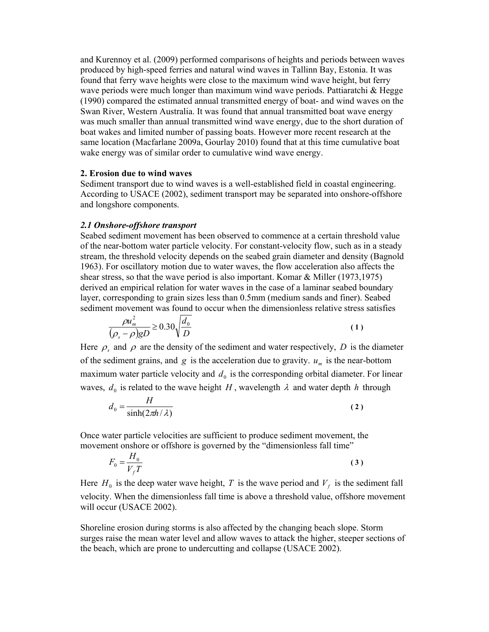and Kurennoy et al. (2009) performed comparisons of heights and periods between waves produced by high-speed ferries and natural wind waves in Tallinn Bay, Estonia. It was found that ferry wave heights were close to the maximum wind wave height, but ferry wave periods were much longer than maximum wind wave periods. Pattiaratchi & Hegge (1990) compared the estimated annual transmitted energy of boat- and wind waves on the Swan River, Western Australia. It was found that annual transmitted boat wave energy was much smaller than annual transmitted wind wave energy, due to the short duration of boat wakes and limited number of passing boats. However more recent research at the same location (Macfarlane 2009a, Gourlay 2010) found that at this time cumulative boat wake energy was of similar order to cumulative wind wave energy.

#### **2. Erosion due to wind waves**

Sediment transport due to wind waves is a well-established field in coastal engineering. According to USACE (2002), sediment transport may be separated into onshore-offshore and longshore components.

#### *2.1 Onshore-offshore transport*

Seabed sediment movement has been observed to commence at a certain threshold value of the near-bottom water particle velocity. For constant-velocity flow, such as in a steady stream, the threshold velocity depends on the seabed grain diameter and density (Bagnold 1963). For oscillatory motion due to water waves, the flow acceleration also affects the shear stress, so that the wave period is also important. Komar  $\&$  Miller (1973,1975) derived an empirical relation for water waves in the case of a laminar seabed boundary layer, corresponding to grain sizes less than 0.5mm (medium sands and finer). Seabed sediment movement was found to occur when the dimensionless relative stress satisfies

$$
\frac{\rho u_m^2}{(\rho_s - \rho)gD} \ge 0.30 \sqrt{\frac{d_0}{D}}
$$
\n(1)

Here  $\rho_s$  and  $\rho$  are the density of the sediment and water respectively, *D* is the diameter of the sediment grains, and  $g$  is the acceleration due to gravity.  $u_m$  is the near-bottom maximum water particle velocity and  $d_0$  is the corresponding orbital diameter. For linear waves,  $d_0$  is related to the wave height *H*, wavelength  $\lambda$  and water depth *h* through

$$
d_0 = \frac{H}{\sinh(2\pi h/\lambda)}
$$
 (2)

Once water particle velocities are sufficient to produce sediment movement, the movement onshore or offshore is governed by the "dimensionless fall time"

$$
F_0 = \frac{H_0}{V_f T} \tag{3}
$$

Here  $H_0$  is the deep water wave height, *T* is the wave period and  $V_f$  is the sediment fall velocity. When the dimensionless fall time is above a threshold value, offshore movement will occur (USACE 2002).

Shoreline erosion during storms is also affected by the changing beach slope. Storm surges raise the mean water level and allow waves to attack the higher, steeper sections of the beach, which are prone to undercutting and collapse (USACE 2002).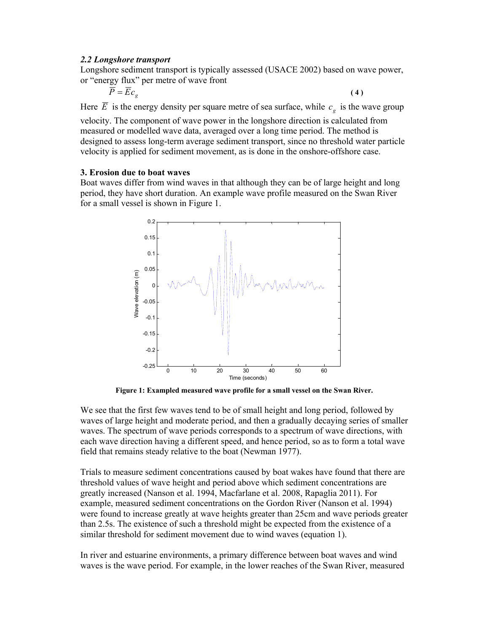### *2.2 Longshore transport*

Longshore sediment transport is typically assessed (USACE 2002) based on wave power, or "energy flux" per metre of wave front

$$
\overline{\overline{P}} = \overline{E}c_g
$$
 (4)

Here  $\overline{E}$  is the energy density per square metre of sea surface, while  $c<sub>e</sub>$  is the wave group

velocity. The component of wave power in the longshore direction is calculated from measured or modelled wave data, averaged over a long time period. The method is designed to assess long-term average sediment transport, since no threshold water particle velocity is applied for sediment movement, as is done in the onshore-offshore case.

### **3. Erosion due to boat waves**

Boat waves differ from wind waves in that although they can be of large height and long period, they have short duration. An example wave profile measured on the Swan River for a small vessel is shown in Figure 1.



**Figure 1: Exampled measured wave profile for a small vessel on the Swan River.** 

We see that the first few waves tend to be of small height and long period, followed by waves of large height and moderate period, and then a gradually decaying series of smaller waves. The spectrum of wave periods corresponds to a spectrum of wave directions, with each wave direction having a different speed, and hence period, so as to form a total wave field that remains steady relative to the boat (Newman 1977).

Trials to measure sediment concentrations caused by boat wakes have found that there are threshold values of wave height and period above which sediment concentrations are greatly increased (Nanson et al. 1994, Macfarlane et al. 2008, Rapaglia 2011). For example, measured sediment concentrations on the Gordon River (Nanson et al. 1994) were found to increase greatly at wave heights greater than 25cm and wave periods greater than 2.5s. The existence of such a threshold might be expected from the existence of a similar threshold for sediment movement due to wind waves (equation 1).

In river and estuarine environments, a primary difference between boat waves and wind waves is the wave period. For example, in the lower reaches of the Swan River, measured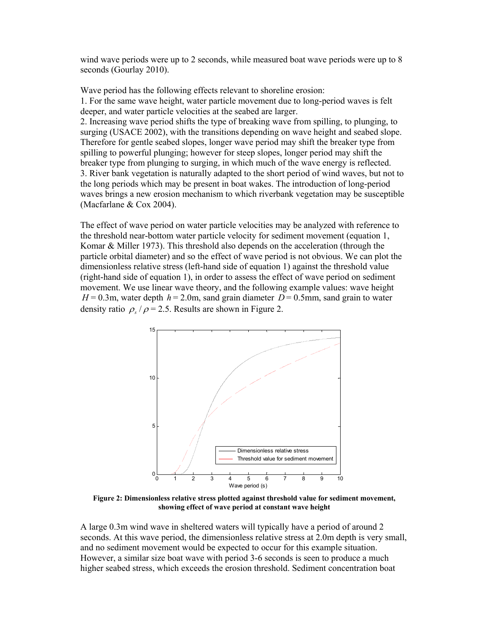wind wave periods were up to 2 seconds, while measured boat wave periods were up to 8 seconds (Gourlay 2010).

Wave period has the following effects relevant to shoreline erosion:

1. For the same wave height, water particle movement due to long-period waves is felt deeper, and water particle velocities at the seabed are larger.

2. Increasing wave period shifts the type of breaking wave from spilling, to plunging, to surging (USACE 2002), with the transitions depending on wave height and seabed slope. Therefore for gentle seabed slopes, longer wave period may shift the breaker type from spilling to powerful plunging; however for steep slopes, longer period may shift the breaker type from plunging to surging, in which much of the wave energy is reflected. 3. River bank vegetation is naturally adapted to the short period of wind waves, but not to the long periods which may be present in boat wakes. The introduction of long-period waves brings a new erosion mechanism to which riverbank vegetation may be susceptible (Macfarlane & Cox 2004).

The effect of wave period on water particle velocities may be analyzed with reference to the threshold near-bottom water particle velocity for sediment movement (equation 1, Komar & Miller 1973). This threshold also depends on the acceleration (through the particle orbital diameter) and so the effect of wave period is not obvious. We can plot the dimensionless relative stress (left-hand side of equation 1) against the threshold value (right-hand side of equation 1), in order to assess the effect of wave period on sediment movement. We use linear wave theory, and the following example values: wave height  $H = 0.3$ m, water depth  $h = 2.0$ m, sand grain diameter  $D = 0.5$ mm, sand grain to water density ratio  $\rho$  /  $\rho$  = 2.5. Results are shown in Figure 2.



**Figure 2: Dimensionless relative stress plotted against threshold value for sediment movement, showing effect of wave period at constant wave height** 

A large 0.3m wind wave in sheltered waters will typically have a period of around 2 seconds. At this wave period, the dimensionless relative stress at 2.0m depth is very small, and no sediment movement would be expected to occur for this example situation. However, a similar size boat wave with period 3-6 seconds is seen to produce a much higher seabed stress, which exceeds the erosion threshold. Sediment concentration boat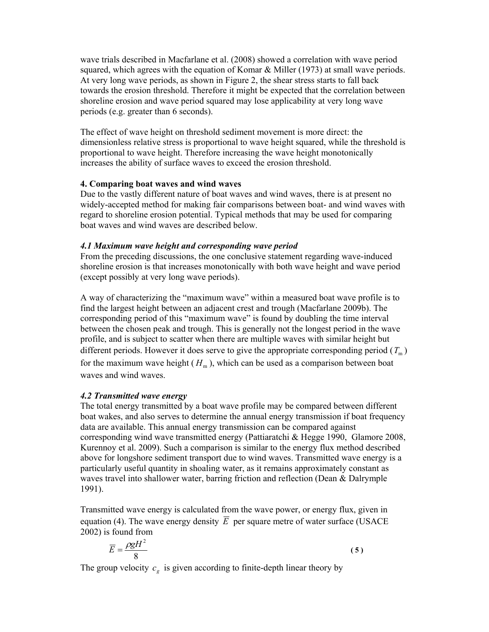wave trials described in Macfarlane et al. (2008) showed a correlation with wave period squared, which agrees with the equation of Komar & Miller (1973) at small wave periods. At very long wave periods, as shown in Figure 2, the shear stress starts to fall back towards the erosion threshold. Therefore it might be expected that the correlation between shoreline erosion and wave period squared may lose applicability at very long wave periods (e.g. greater than 6 seconds).

The effect of wave height on threshold sediment movement is more direct: the dimensionless relative stress is proportional to wave height squared, while the threshold is proportional to wave height. Therefore increasing the wave height monotonically increases the ability of surface waves to exceed the erosion threshold.

## **4. Comparing boat waves and wind waves**

Due to the vastly different nature of boat waves and wind waves, there is at present no widely-accepted method for making fair comparisons between boat- and wind waves with regard to shoreline erosion potential. Typical methods that may be used for comparing boat waves and wind waves are described below.

## *4.1 Maximum wave height and corresponding wave period*

From the preceding discussions, the one conclusive statement regarding wave-induced shoreline erosion is that increases monotonically with both wave height and wave period (except possibly at very long wave periods).

A way of characterizing the "maximum wave" within a measured boat wave profile is to find the largest height between an adjacent crest and trough (Macfarlane 2009b). The corresponding period of this "maximum wave" is found by doubling the time interval between the chosen peak and trough. This is generally not the longest period in the wave profile, and is subject to scatter when there are multiple waves with similar height but different periods. However it does serve to give the appropriate corresponding period  $(T<sub>m</sub>)$ for the maximum wave height  $(H_m)$ , which can be used as a comparison between boat waves and wind waves.

# *4.2 Transmitted wave energy*

The total energy transmitted by a boat wave profile may be compared between different boat wakes, and also serves to determine the annual energy transmission if boat frequency data are available. This annual energy transmission can be compared against corresponding wind wave transmitted energy (Pattiaratchi & Hegge 1990, Glamore 2008, Kurennoy et al. 2009). Such a comparison is similar to the energy flux method described above for longshore sediment transport due to wind waves. Transmitted wave energy is a particularly useful quantity in shoaling water, as it remains approximately constant as waves travel into shallower water, barring friction and reflection (Dean & Dalrymple 1991).

Transmitted wave energy is calculated from the wave power, or energy flux, given in equation (4). The wave energy density  $\overline{E}$  per square metre of water surface (USACE 2002) is found from

$$
\overline{E} = \frac{\rho g H^2}{8} \tag{5}
$$

The group velocity  $c_g$  is given according to finite-depth linear theory by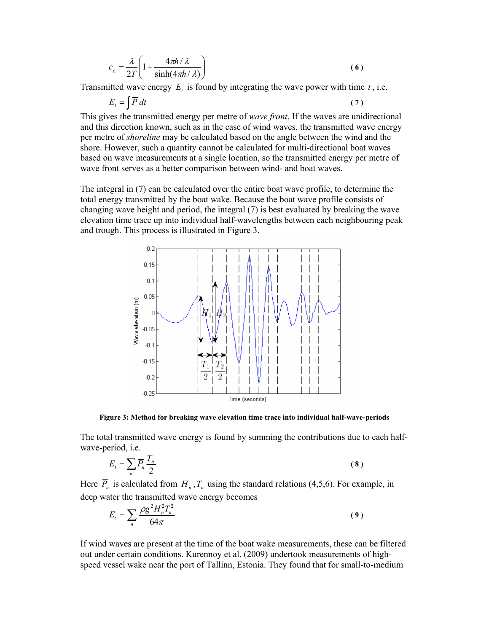$$
c_g = \frac{\lambda}{2T} \left( 1 + \frac{4\pi h/\lambda}{\sinh(4\pi h/\lambda)} \right) \tag{6}
$$

Transmitted wave energy  $E_t$  is found by integrating the wave power with time  $t$ , i.e.

$$
E_t = \int \overline{P} \, dt \tag{7}
$$

This gives the transmitted energy per metre of *wave front*. If the waves are unidirectional and this direction known, such as in the case of wind waves, the transmitted wave energy per metre of *shoreline* may be calculated based on the angle between the wind and the shore. However, such a quantity cannot be calculated for multi-directional boat waves based on wave measurements at a single location, so the transmitted energy per metre of wave front serves as a better comparison between wind- and boat waves.

The integral in (7) can be calculated over the entire boat wave profile, to determine the total energy transmitted by the boat wake. Because the boat wave profile consists of changing wave height and period, the integral (7) is best evaluated by breaking the wave elevation time trace up into individual half-wavelengths between each neighbouring peak and trough. This process is illustrated in Figure 3.



**Figure 3: Method for breaking wave elevation time trace into individual half-wave-periods** 

The total transmitted wave energy is found by summing the contributions due to each halfwave-period, i.e.

$$
E_t = \sum_n \overline{P}_n \frac{T_n}{2}
$$
 (8)

Here  $\overline{P}_n$  is calculated from  $H_n$ ,  $T_n$  using the standard relations (4,5,6). For example, in deep water the transmitted wave energy becomes

$$
E_t = \sum_n \frac{\rho g^2 H_n^2 T_n^2}{64\pi} \tag{9}
$$

If wind waves are present at the time of the boat wake measurements, these can be filtered out under certain conditions. Kurennoy et al. (2009) undertook measurements of highspeed vessel wake near the port of Tallinn, Estonia. They found that for small-to-medium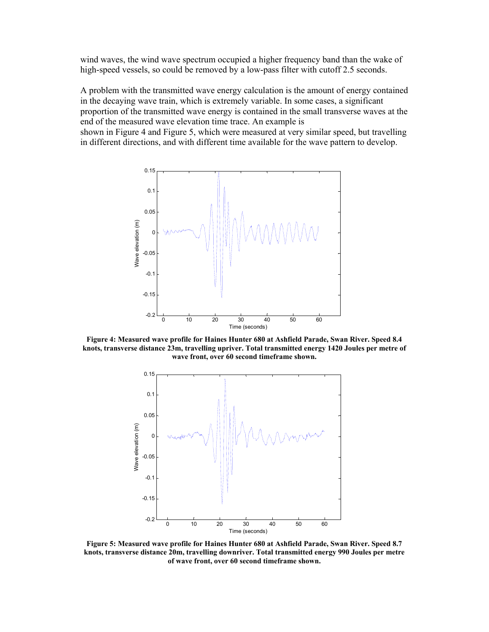wind waves, the wind wave spectrum occupied a higher frequency band than the wake of high-speed vessels, so could be removed by a low-pass filter with cutoff 2.5 seconds.

A problem with the transmitted wave energy calculation is the amount of energy contained in the decaying wave train, which is extremely variable. In some cases, a significant proportion of the transmitted wave energy is contained in the small transverse waves at the end of the measured wave elevation time trace. An example is

shown in Figure 4 and Figure 5, which were measured at very similar speed, but travelling in different directions, and with different time available for the wave pattern to develop.



**Figure 4: Measured wave profile for Haines Hunter 680 at Ashfield Parade, Swan River. Speed 8.4 knots, transverse distance 23m, travelling upriver. Total transmitted energy 1420 Joules per metre of wave front, over 60 second timeframe shown.** 



**Figure 5: Measured wave profile for Haines Hunter 680 at Ashfield Parade, Swan River. Speed 8.7 knots, transverse distance 20m, travelling downriver. Total transmitted energy 990 Joules per metre of wave front, over 60 second timeframe shown.**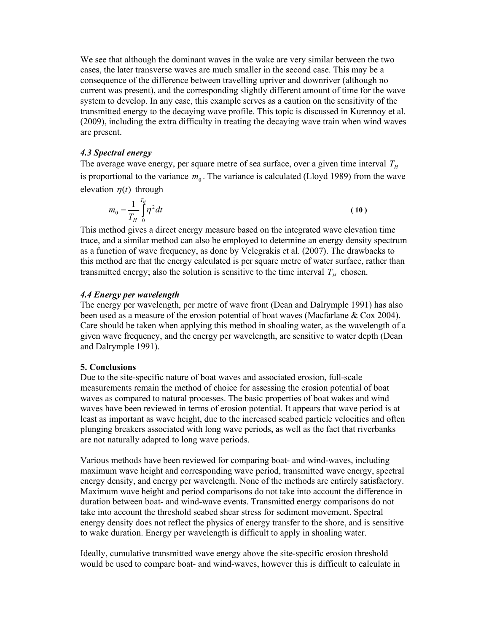We see that although the dominant waves in the wake are very similar between the two cases, the later transverse waves are much smaller in the second case. This may be a consequence of the difference between travelling upriver and downriver (although no current was present), and the corresponding slightly different amount of time for the wave system to develop. In any case, this example serves as a caution on the sensitivity of the transmitted energy to the decaying wave profile. This topic is discussed in Kurennoy et al. (2009), including the extra difficulty in treating the decaying wave train when wind waves are present.

### *4.3 Spectral energy*

The average wave energy, per square metre of sea surface, over a given time interval  $T_H$ is proportional to the variance  $m_0$ . The variance is calculated (Lloyd 1989) from the wave elevation  $\eta(t)$  through

$$
m_0 = \frac{1}{T_H} \int_0^{T_H} \eta^2 dt
$$
 (10)

This method gives a direct energy measure based on the integrated wave elevation time trace, and a similar method can also be employed to determine an energy density spectrum as a function of wave frequency, as done by Velegrakis et al. (2007). The drawbacks to this method are that the energy calculated is per square metre of water surface, rather than transmitted energy; also the solution is sensitive to the time interval  $T_H$  chosen.

### *4.4 Energy per wavelength*

The energy per wavelength, per metre of wave front (Dean and Dalrymple 1991) has also been used as a measure of the erosion potential of boat waves (Macfarlane & Cox 2004). Care should be taken when applying this method in shoaling water, as the wavelength of a given wave frequency, and the energy per wavelength, are sensitive to water depth (Dean and Dalrymple 1991).

## **5. Conclusions**

Due to the site-specific nature of boat waves and associated erosion, full-scale measurements remain the method of choice for assessing the erosion potential of boat waves as compared to natural processes. The basic properties of boat wakes and wind waves have been reviewed in terms of erosion potential. It appears that wave period is at least as important as wave height, due to the increased seabed particle velocities and often plunging breakers associated with long wave periods, as well as the fact that riverbanks are not naturally adapted to long wave periods.

Various methods have been reviewed for comparing boat- and wind-waves, including maximum wave height and corresponding wave period, transmitted wave energy, spectral energy density, and energy per wavelength. None of the methods are entirely satisfactory. Maximum wave height and period comparisons do not take into account the difference in duration between boat- and wind-wave events. Transmitted energy comparisons do not take into account the threshold seabed shear stress for sediment movement. Spectral energy density does not reflect the physics of energy transfer to the shore, and is sensitive to wake duration. Energy per wavelength is difficult to apply in shoaling water.

Ideally, cumulative transmitted wave energy above the site-specific erosion threshold would be used to compare boat- and wind-waves, however this is difficult to calculate in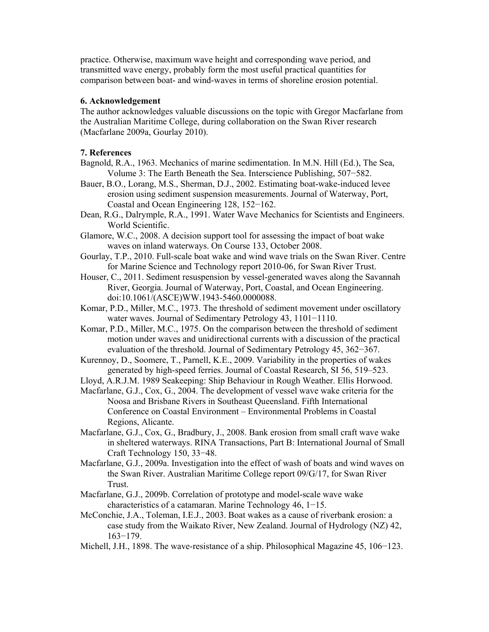practice. Otherwise, maximum wave height and corresponding wave period, and transmitted wave energy, probably form the most useful practical quantities for comparison between boat- and wind-waves in terms of shoreline erosion potential.

#### **6. Acknowledgement**

The author acknowledges valuable discussions on the topic with Gregor Macfarlane from the Australian Maritime College, during collaboration on the Swan River research (Macfarlane 2009a, Gourlay 2010).

### **7. References**

- Bagnold, R.A., 1963. Mechanics of marine sedimentation. In M.N. Hill (Ed.), The Sea, Volume 3: The Earth Beneath the Sea. Interscience Publishing, 507−582.
- Bauer, B.O., Lorang, M.S., Sherman, D.J., 2002. Estimating boat-wake-induced levee erosion using sediment suspension measurements. Journal of Waterway, Port, Coastal and Ocean Engineering 128, 152−162.
- Dean, R.G., Dalrymple, R.A., 1991. Water Wave Mechanics for Scientists and Engineers. World Scientific.
- Glamore, W.C., 2008. A decision support tool for assessing the impact of boat wake waves on inland waterways. On Course 133, October 2008.
- Gourlay, T.P., 2010. Full-scale boat wake and wind wave trials on the Swan River. Centre for Marine Science and Technology report 2010-06, for Swan River Trust.
- Houser, C., 2011. Sediment resuspension by vessel-generated waves along the Savannah River, Georgia. Journal of Waterway, Port, Coastal, and Ocean Engineering. doi:10.1061/(ASCE)WW.1943-5460.0000088.
- Komar, P.D., Miller, M.C., 1973. The threshold of sediment movement under oscillatory water waves. Journal of Sedimentary Petrology 43, 1101−1110.
- Komar, P.D., Miller, M.C., 1975. On the comparison between the threshold of sediment motion under waves and unidirectional currents with a discussion of the practical evaluation of the threshold. Journal of Sedimentary Petrology 45, 362−367.
- Kurennoy, D., Soomere, T., Parnell, K.E., 2009. Variability in the properties of wakes generated by high-speed ferries. Journal of Coastal Research, SI 56, 519–523.
- Lloyd, A.R.J.M. 1989 Seakeeping: Ship Behaviour in Rough Weather. Ellis Horwood.
- Macfarlane, G.J., Cox, G., 2004. The development of vessel wave wake criteria for the Noosa and Brisbane Rivers in Southeast Queensland. Fifth International Conference on Coastal Environment – Environmental Problems in Coastal Regions, Alicante.
- Macfarlane, G.J., Cox, G., Bradbury, J., 2008. Bank erosion from small craft wave wake in sheltered waterways. RINA Transactions, Part B: International Journal of Small Craft Technology 150, 33−48.
- Macfarlane, G.J., 2009a. Investigation into the effect of wash of boats and wind waves on the Swan River. Australian Maritime College report 09/G/17, for Swan River Trust.
- Macfarlane, G.J., 2009b. Correlation of prototype and model-scale wave wake characteristics of a catamaran. Marine Technology 46, 1−15.
- McConchie, J.A., Toleman, I.E.J., 2003. Boat wakes as a cause of riverbank erosion: a case study from the Waikato River, New Zealand. Journal of Hydrology (NZ) 42, 163−179.
- Michell, J.H., 1898. The wave-resistance of a ship. Philosophical Magazine 45, 106−123.